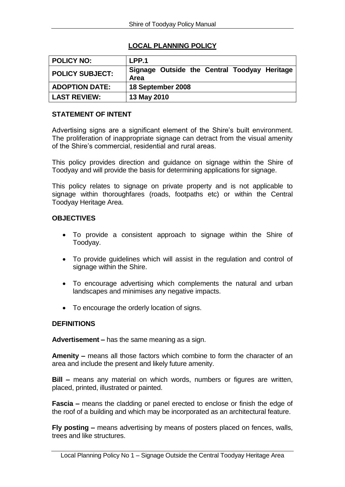# **LOCAL PLANNING POLICY**

| <b>POLICY NO:</b>      | LPP.1                                                       |
|------------------------|-------------------------------------------------------------|
| <b>POLICY SUBJECT:</b> | Signage Outside the Central Toodyay Heritage<br><b>Area</b> |
| <b>ADOPTION DATE:</b>  | 18 September 2008                                           |
| <b>LAST REVIEW:</b>    | 13 May 2010                                                 |

## **STATEMENT OF INTENT**

Advertising signs are a significant element of the Shire's built environment. The proliferation of inappropriate signage can detract from the visual amenity of the Shire's commercial, residential and rural areas.

This policy provides direction and guidance on signage within the Shire of Toodyay and will provide the basis for determining applications for signage.

This policy relates to signage on private property and is not applicable to signage within thoroughfares (roads, footpaths etc) or within the Central Toodyay Heritage Area.

### **OBJECTIVES**

- To provide a consistent approach to signage within the Shire of Toodyay.
- To provide guidelines which will assist in the regulation and control of signage within the Shire.
- To encourage advertising which complements the natural and urban landscapes and minimises any negative impacts.
- To encourage the orderly location of signs.

### **DEFINITIONS**

**Advertisement –** has the same meaning as a sign.

**Amenity –** means all those factors which combine to form the character of an area and include the present and likely future amenity.

**Bill –** means any material on which words, numbers or figures are written, placed, printed, illustrated or painted.

**Fascia –** means the cladding or panel erected to enclose or finish the edge of the roof of a building and which may be incorporated as an architectural feature.

**Fly posting –** means advertising by means of posters placed on fences, walls, trees and like structures.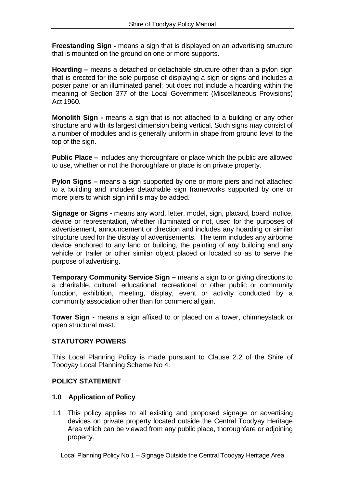**Freestanding Sign -** means a sign that is displayed on an advertising structure that is mounted on the ground on one or more supports.

**Hoarding –** means a detached or detachable structure other than a pylon sign that is erected for the sole purpose of displaying a sign or signs and includes a poster panel or an illuminated panel; but does not include a hoarding within the meaning of Section 377 of the Local Government (Miscellaneous Provisions) Act 1960.

**Monolith Sign -** means a sign that is not attached to a building or any other structure and with its largest dimension being vertical. Such signs may consist of a number of modules and is generally uniform in shape from ground level to the top of the sign.

**Public Place –** includes any thoroughfare or place which the public are allowed to use, whether or not the thoroughfare or place is on private property.

**Pylon Signs –** means a sign supported by one or more piers and not attached to a building and includes detachable sign frameworks supported by one or more piers to which sign infill's may be added.

**Signage or Signs -** means any word, letter, model, sign, placard, board, notice, device or representation, whether illuminated or not, used for the purposes of advertisement, announcement or direction and includes any hoarding or similar structure used for the display of advertisements. The term includes any airborne device anchored to any land or building, the painting of any building and any vehicle or trailer or other similar object placed or located so as to serve the purpose of advertising.

**Temporary Community Service Sign –** means a sign to or giving directions to a charitable, cultural, educational, recreational or other public or community function, exhibition, meeting, display, event or activity conducted by a community association other than for commercial gain.

**Tower Sign -** means a sign affixed to or placed on a tower, chimneystack or open structural mast.

# **STATUTORY POWERS**

This Local Planning Policy is made pursuant to Clause 2.2 of the Shire of Toodyay Local Planning Scheme No 4.

# **POLICY STATEMENT**

# **1.0 Application of Policy**

1.1 This policy applies to all existing and proposed signage or advertising devices on private property located outside the Central Toodyay Heritage Area which can be viewed from any public place, thoroughfare or adjoining property.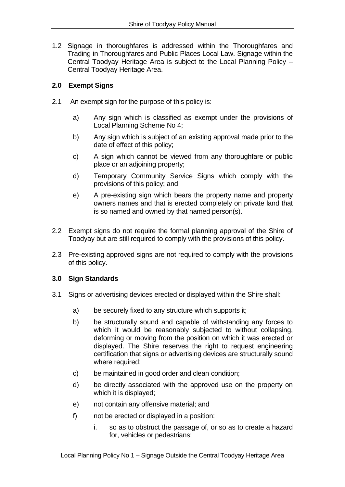1.2 Signage in thoroughfares is addressed within the Thoroughfares and Trading in Thoroughfares and Public Places Local Law. Signage within the Central Toodyay Heritage Area is subject to the Local Planning Policy – Central Toodyay Heritage Area.

## **2.0 Exempt Signs**

- 2.1 An exempt sign for the purpose of this policy is:
	- a) Any sign which is classified as exempt under the provisions of Local Planning Scheme No 4;
	- b) Any sign which is subject of an existing approval made prior to the date of effect of this policy;
	- c) A sign which cannot be viewed from any thoroughfare or public place or an adjoining property;
	- d) Temporary Community Service Signs which comply with the provisions of this policy; and
	- e) A pre-existing sign which bears the property name and property owners names and that is erected completely on private land that is so named and owned by that named person(s).
- 2.2 Exempt signs do not require the formal planning approval of the Shire of Toodyay but are still required to comply with the provisions of this policy.
- 2.3 Pre-existing approved signs are not required to comply with the provisions of this policy.

### **3.0 Sign Standards**

- 3.1 Signs or advertising devices erected or displayed within the Shire shall:
	- a) be securely fixed to any structure which supports it;
	- b) be structurally sound and capable of withstanding any forces to which it would be reasonably subjected to without collapsing, deforming or moving from the position on which it was erected or displayed. The Shire reserves the right to request engineering certification that signs or advertising devices are structurally sound where required;
	- c) be maintained in good order and clean condition;
	- d) be directly associated with the approved use on the property on which it is displayed;
	- e) not contain any offensive material; and
	- f) not be erected or displayed in a position:
		- i. so as to obstruct the passage of, or so as to create a hazard for, vehicles or pedestrians;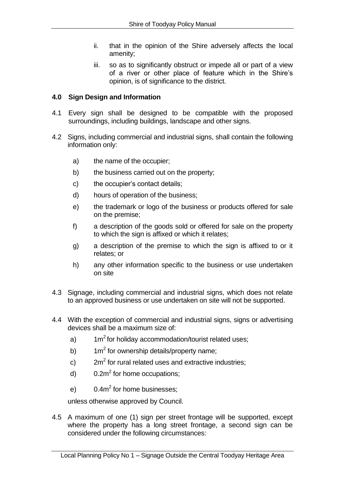- ii. that in the opinion of the Shire adversely affects the local amenity;
- iii. so as to significantly obstruct or impede all or part of a view of a river or other place of feature which in the Shire's opinion, is of significance to the district.

## **4.0 Sign Design and Information**

- 4.1 Every sign shall be designed to be compatible with the proposed surroundings, including buildings, landscape and other signs.
- 4.2 Signs, including commercial and industrial signs, shall contain the following information only:
	- a) the name of the occupier;
	- b) the business carried out on the property;
	- c) the occupier's contact details;
	- d) hours of operation of the business;
	- e) the trademark or logo of the business or products offered for sale on the premise;
	- f) a description of the goods sold or offered for sale on the property to which the sign is affixed or which it relates;
	- g) a description of the premise to which the sign is affixed to or it relates; or
	- h) any other information specific to the business or use undertaken on site
- 4.3 Signage, including commercial and industrial signs, which does not relate to an approved business or use undertaken on site will not be supported.
- 4.4 With the exception of commercial and industrial signs, signs or advertising devices shall be a maximum size of:
	- a)  $1m^2$  for holiday accommodation/tourist related uses;
	- b)  $1m^2$  for ownership details/property name;
	- c)  $2m^2$  for rural related uses and extractive industries;
	- d)  $0.2m^2$  for home occupations;
	- $e$ ) 0.4 $m<sup>2</sup>$  for home businesses;

unless otherwise approved by Council.

4.5 A maximum of one (1) sign per street frontage will be supported, except where the property has a long street frontage, a second sign can be considered under the following circumstances: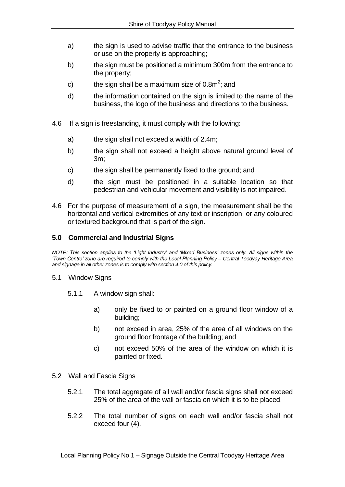- a) the sign is used to advise traffic that the entrance to the business or use on the property is approaching;
- b) the sign must be positioned a minimum 300m from the entrance to the property;
- c) the sign shall be a maximum size of 0.8m<sup>2</sup>; and
- d) the information contained on the sign is limited to the name of the business, the logo of the business and directions to the business.
- 4.6 If a sign is freestanding, it must comply with the following:
	- a) the sign shall not exceed a width of 2.4m;
	- b) the sign shall not exceed a height above natural ground level of 3m;
	- c) the sign shall be permanently fixed to the ground; and
	- d) the sign must be positioned in a suitable location so that pedestrian and vehicular movement and visibility is not impaired.
- 4.6 For the purpose of measurement of a sign, the measurement shall be the horizontal and vertical extremities of any text or inscription, or any coloured or textured background that is part of the sign.

#### **5.0 Commercial and Industrial Signs**

*NOTE: This section applies to the 'Light Industry' and 'Mixed Business' zones only. All signs within the 'Town Centre' zone are required to comply with the Local Planning Policy – Central Toodyay Heritage Area and signage in all other zones is to comply with section 4.0 of this policy.* 

- 5.1 Window Signs
	- 5.1.1 A window sign shall:
		- a) only be fixed to or painted on a ground floor window of a building;
		- b) not exceed in area, 25% of the area of all windows on the ground floor frontage of the building; and
		- c) not exceed 50% of the area of the window on which it is painted or fixed.
- 5.2 Wall and Fascia Signs
	- 5.2.1 The total aggregate of all wall and/or fascia signs shall not exceed 25% of the area of the wall or fascia on which it is to be placed.
	- 5.2.2 The total number of signs on each wall and/or fascia shall not exceed four (4).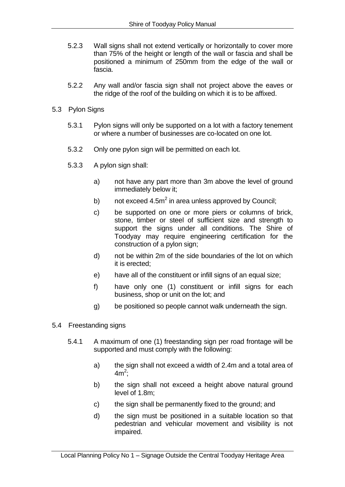- 5.2.3 Wall signs shall not extend vertically or horizontally to cover more than 75% of the height or length of the wall or fascia and shall be positioned a minimum of 250mm from the edge of the wall or fascia.
- 5.2.2 Any wall and/or fascia sign shall not project above the eaves or the ridge of the roof of the building on which it is to be affixed.
- 5.3 Pylon Signs
	- 5.3.1 Pylon signs will only be supported on a lot with a factory tenement or where a number of businesses are co-located on one lot.
	- 5.3.2 Only one pylon sign will be permitted on each lot.
	- 5.3.3 A pylon sign shall:
		- a) not have any part more than 3m above the level of ground immediately below it;
		- b) not exceed 4.5m<sup>2</sup> in area unless approved by Council;
		- c) be supported on one or more piers or columns of brick, stone, timber or steel of sufficient size and strength to support the signs under all conditions. The Shire of Toodyay may require engineering certification for the construction of a pylon sign;
		- d) not be within 2m of the side boundaries of the lot on which it is erected;
		- e) have all of the constituent or infill signs of an equal size;
		- f) have only one (1) constituent or infill signs for each business, shop or unit on the lot; and
		- g) be positioned so people cannot walk underneath the sign.

### 5.4 Freestanding signs

- 5.4.1 A maximum of one (1) freestanding sign per road frontage will be supported and must comply with the following:
	- a) the sign shall not exceed a width of 2.4m and a total area of  $4m^2$ ;
	- b) the sign shall not exceed a height above natural ground level of 1.8m;
	- c) the sign shall be permanently fixed to the ground; and
	- d) the sign must be positioned in a suitable location so that pedestrian and vehicular movement and visibility is not impaired.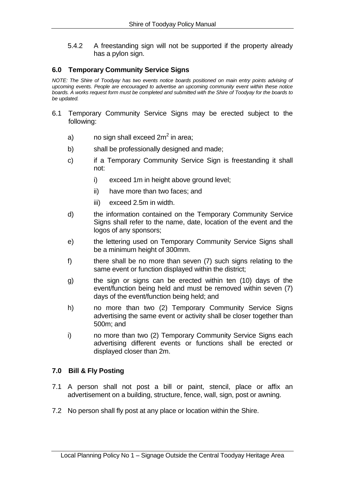5.4.2 A freestanding sign will not be supported if the property already has a pylon sign.

# **6.0 Temporary Community Service Signs**

*NOTE: The Shire of Toodyay has two events notice boards positioned on main entry points advising of upcoming events. People are encouraged to advertise an upcoming community event within these notice boards. A works request form must be completed and submitted with the Shire of Toodyay for the boards to be updated.* 

- 6.1 Temporary Community Service Signs may be erected subject to the following:
	- a) no sign shall exceed  $2m^2$  in area;
	- b) shall be professionally designed and made;
	- c) if a Temporary Community Service Sign is freestanding it shall not:
		- i) exceed 1m in height above ground level;
		- ii) have more than two faces; and
		- iii) exceed 2.5m in width.
	- d) the information contained on the Temporary Community Service Signs shall refer to the name, date, location of the event and the logos of any sponsors;
	- e) the lettering used on Temporary Community Service Signs shall be a minimum height of 300mm.
	- f) there shall be no more than seven (7) such signs relating to the same event or function displayed within the district;
	- g) the sign or signs can be erected within ten (10) days of the event/function being held and must be removed within seven (7) days of the event/function being held; and
	- h) no more than two (2) Temporary Community Service Signs advertising the same event or activity shall be closer together than 500m; and
	- i) no more than two (2) Temporary Community Service Signs each advertising different events or functions shall be erected or displayed closer than 2m.

# **7.0 Bill & Fly Posting**

- 7.1 A person shall not post a bill or paint, stencil, place or affix an advertisement on a building, structure, fence, wall, sign, post or awning.
- 7.2 No person shall fly post at any place or location within the Shire.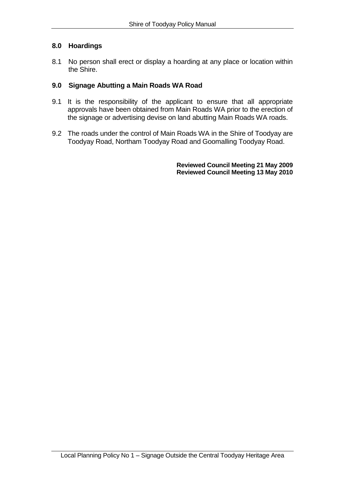## **8.0 Hoardings**

8.1 No person shall erect or display a hoarding at any place or location within the Shire.

## **9.0 Signage Abutting a Main Roads WA Road**

- 9.1 It is the responsibility of the applicant to ensure that all appropriate approvals have been obtained from Main Roads WA prior to the erection of the signage or advertising devise on land abutting Main Roads WA roads.
- 9.2 The roads under the control of Main Roads WA in the Shire of Toodyay are Toodyay Road, Northam Toodyay Road and Goomalling Toodyay Road.

**Reviewed Council Meeting 21 May 2009 Reviewed Council Meeting 13 May 2010**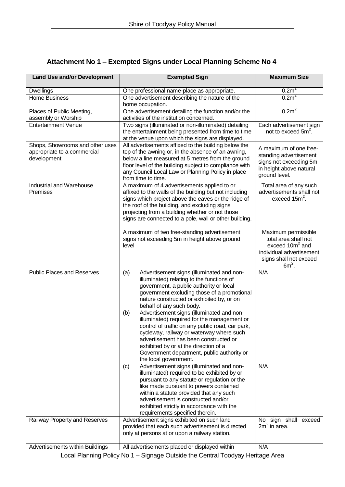# **Attachment No 1 – Exempted Signs under Local Planning Scheme No 4**

| <b>Land Use and/or Development</b>                                            | <b>Exempted Sign</b>                                                                                                                                                                                                                                                                                                                                                                                                                                                                                                                                                                                                                                                                                                                                                                                                                                                                                                                                                                        | <b>Maximum Size</b>                                                                                                                |
|-------------------------------------------------------------------------------|---------------------------------------------------------------------------------------------------------------------------------------------------------------------------------------------------------------------------------------------------------------------------------------------------------------------------------------------------------------------------------------------------------------------------------------------------------------------------------------------------------------------------------------------------------------------------------------------------------------------------------------------------------------------------------------------------------------------------------------------------------------------------------------------------------------------------------------------------------------------------------------------------------------------------------------------------------------------------------------------|------------------------------------------------------------------------------------------------------------------------------------|
| <b>Dwellings</b>                                                              | One professional name-place as appropriate.                                                                                                                                                                                                                                                                                                                                                                                                                                                                                                                                                                                                                                                                                                                                                                                                                                                                                                                                                 | 0.2m <sup>2</sup>                                                                                                                  |
| <b>Home Business</b>                                                          | One advertisement describing the nature of the<br>home occupation.                                                                                                                                                                                                                                                                                                                                                                                                                                                                                                                                                                                                                                                                                                                                                                                                                                                                                                                          | 0.2m <sup>2</sup>                                                                                                                  |
| Places of Public Meeting,<br>assembly or Worship                              | One advertisement detailing the function and/or the<br>activities of the institution concerned.                                                                                                                                                                                                                                                                                                                                                                                                                                                                                                                                                                                                                                                                                                                                                                                                                                                                                             | 0.2m <sup>2</sup>                                                                                                                  |
| <b>Entertainment Venue</b>                                                    | Two signs (illuminated or non-illuminated) detailing<br>the entertainment being presented from time to time<br>at the venue upon which the signs are displayed.                                                                                                                                                                                                                                                                                                                                                                                                                                                                                                                                                                                                                                                                                                                                                                                                                             | Each advertisement sign<br>not to exceed $5m^2$ .                                                                                  |
| Shops, Showrooms and other uses<br>appropriate to a commercial<br>development | All advertisements affixed to the building below the<br>top of the awning or, in the absence of an awning,<br>below a line measured at 5 metres from the ground<br>floor level of the building subject to compliance with<br>any Council Local Law or Planning Policy in place<br>from time to time.                                                                                                                                                                                                                                                                                                                                                                                                                                                                                                                                                                                                                                                                                        | A maximum of one free-<br>standing advertisement<br>signs not exceeding 5m<br>in height above natural<br>ground level.             |
| Industrial and Warehouse<br>Premises                                          | A maximum of 4 advertisements applied to or<br>affixed to the walls of the building but not including<br>signs which project above the eaves or the ridge of<br>the roof of the building, and excluding signs<br>projecting from a building whether or not those<br>signs are connected to a pole, wall or other building.                                                                                                                                                                                                                                                                                                                                                                                                                                                                                                                                                                                                                                                                  | Total area of any such<br>advertisements shall not<br>exceed $15m^2$ .                                                             |
|                                                                               | A maximum of two free-standing advertisement<br>signs not exceeding 5m in height above ground<br>level                                                                                                                                                                                                                                                                                                                                                                                                                                                                                                                                                                                                                                                                                                                                                                                                                                                                                      | Maximum permissible<br>total area shall not<br>exceed $10m2$ and<br>individual advertisement<br>signs shall not exceed<br>$6m^2$ . |
| <b>Public Places and Reserves</b>                                             | Advertisement signs (illuminated and non-<br>(a)<br>illuminated) relating to the functions of<br>government, a public authority or local<br>government excluding those of a promotional<br>nature constructed or exhibited by, or on<br>behalf of any such body.<br>Advertisement signs (illuminated and non-<br>(b)<br>illuminated) required for the management or<br>control of traffic on any public road, car park,<br>cycleway, railway or waterway where such<br>advertisement has been constructed or<br>exhibited by or at the direction of a<br>Government department, public authority or<br>the local government.<br>Advertisement signs (illuminated and non-<br>(c)<br>illuminated) required to be exhibited by or<br>pursuant to any statute or regulation or the<br>like made pursuant to powers contained<br>within a statute provided that any such<br>advertisement is constructed and/or<br>exhibited strictly in accordance with the<br>requirements specified therein. | N/A<br>N/A                                                                                                                         |
| Railway Property and Reserves                                                 | Advertisement signs exhibited on such land<br>provided that each such advertisement is directed<br>only at persons at or upon a railway station.                                                                                                                                                                                                                                                                                                                                                                                                                                                                                                                                                                                                                                                                                                                                                                                                                                            | No sign shall exceed<br>$2m2$ in area.                                                                                             |
| Advertisements within Buildings                                               | All advertisements placed or displayed within                                                                                                                                                                                                                                                                                                                                                                                                                                                                                                                                                                                                                                                                                                                                                                                                                                                                                                                                               | N/A                                                                                                                                |

Local Planning Policy No 1 – Signage Outside the Central Toodyay Heritage Area